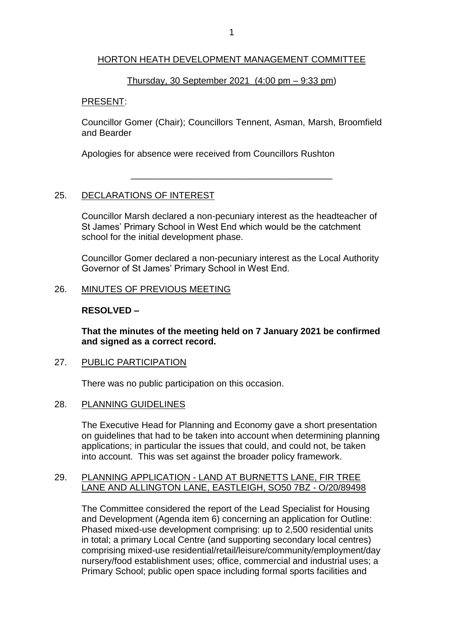## HORTON HEATH DEVELOPMENT MANAGEMENT COMMITTEE

#### Thursday, 30 September 2021 (4:00 pm – 9:33 pm)

#### PRESENT:

Councillor Gomer (Chair); Councillors Tennent, Asman, Marsh, Broomfield and Bearder

\_\_\_\_\_\_\_\_\_\_\_\_\_\_\_\_\_\_\_\_\_\_\_\_\_\_\_\_\_\_\_\_\_\_\_\_\_\_\_\_

Apologies for absence were received from Councillors Rushton

## 25. DECLARATIONS OF INTEREST

Councillor Marsh declared a non-pecuniary interest as the headteacher of St James' Primary School in West End which would be the catchment school for the initial development phase.

Councillor Gomer declared a non-pecuniary interest as the Local Authority Governor of St James' Primary School in West End.

## 26. MINUTES OF PREVIOUS MEETING

## **RESOLVED –**

**That the minutes of the meeting held on 7 January 2021 be confirmed and signed as a correct record.**

#### 27. PUBLIC PARTICIPATION

There was no public participation on this occasion.

#### 28. PLANNING GUIDELINES

The Executive Head for Planning and Economy gave a short presentation on guidelines that had to be taken into account when determining planning applications; in particular the issues that could, and could not, be taken into account. This was set against the broader policy framework.

## 29. PLANNING APPLICATION - LAND AT BURNETTS LANE, FIR TREE LANE AND ALLINGTON LANE, EASTLEIGH, SO50 7BZ - O/20/89498

The Committee considered the report of the Lead Specialist for Housing and Development (Agenda item 6) concerning an application for Outline: Phased mixed-use development comprising: up to 2,500 residential units in total; a primary Local Centre (and supporting secondary local centres) comprising mixed-use residential/retail/leisure/community/employment/day nursery/food establishment uses; office, commercial and industrial uses; a Primary School; public open space including formal sports facilities and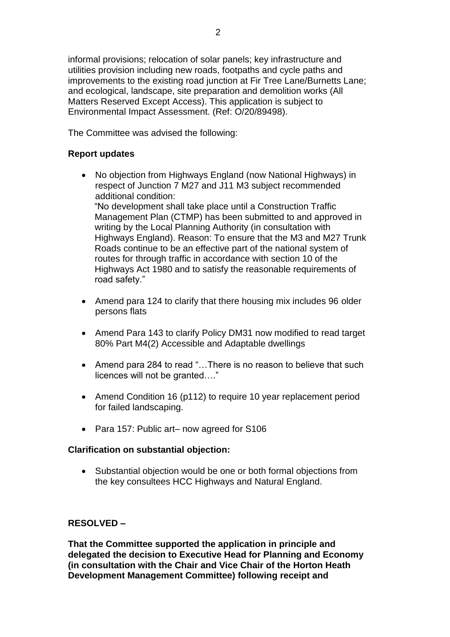informal provisions; relocation of solar panels; key infrastructure and utilities provision including new roads, footpaths and cycle paths and improvements to the existing road junction at Fir Tree Lane/Burnetts Lane; and ecological, landscape, site preparation and demolition works (All Matters Reserved Except Access). This application is subject to Environmental Impact Assessment. (Ref: O/20/89498).

The Committee was advised the following:

# **Report updates**

• No objection from Highways England (now National Highways) in respect of Junction 7 M27 and J11 M3 subject recommended additional condition:

 "No development shall take place until a Construction Traffic Management Plan (CTMP) has been submitted to and approved in writing by the Local Planning Authority (in consultation with Highways England). Reason: To ensure that the M3 and M27 Trunk Roads continue to be an effective part of the national system of routes for through traffic in accordance with section 10 of the Highways Act 1980 and to satisfy the reasonable requirements of road safety."

- Amend para 124 to clarify that there housing mix includes 96 older persons flats
- Amend Para 143 to clarify Policy DM31 now modified to read target 80% Part M4(2) Accessible and Adaptable dwellings
- Amend para 284 to read "...There is no reason to believe that such licences will not be granted…."
- Amend Condition 16 (p112) to require 10 year replacement period for failed landscaping.
- Para 157: Public art– now agreed for S106

# **Clarification on substantial objection:**

• Substantial objection would be one or both formal objections from the key consultees HCC Highways and Natural England.

# **RESOLVED –**

**That the Committee supported the application in principle and delegated the decision to Executive Head for Planning and Economy (in consultation with the Chair and Vice Chair of the Horton Heath Development Management Committee) following receipt and**